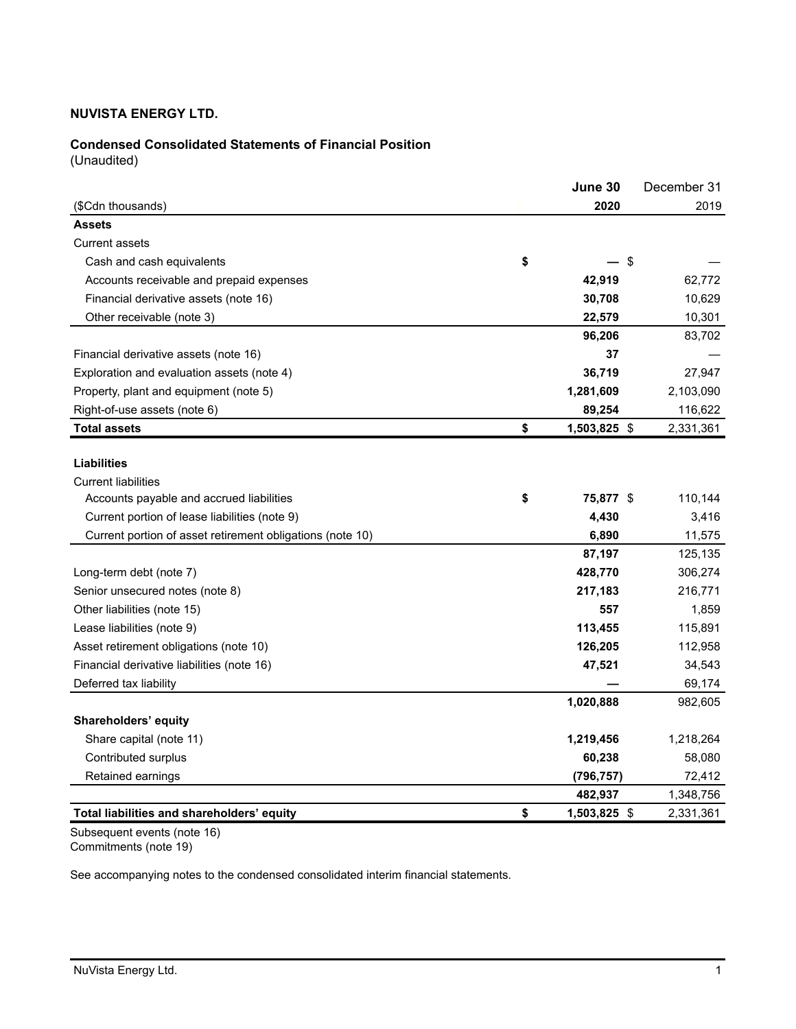# **Condensed Consolidated Statements of Financial Position**

(Unaudited)

|                                                           | June 30            | December 31 |
|-----------------------------------------------------------|--------------------|-------------|
| (\$Cdn thousands)                                         | 2020               | 2019        |
| <b>Assets</b>                                             |                    |             |
| <b>Current assets</b>                                     |                    |             |
| Cash and cash equivalents                                 | \$<br>\$           |             |
| Accounts receivable and prepaid expenses                  | 42,919             | 62,772      |
| Financial derivative assets (note 16)                     | 30,708             | 10,629      |
| Other receivable (note 3)                                 | 22,579             | 10,301      |
|                                                           | 96,206             | 83,702      |
| Financial derivative assets (note 16)                     | 37                 |             |
| Exploration and evaluation assets (note 4)                | 36,719             | 27,947      |
| Property, plant and equipment (note 5)                    | 1,281,609          | 2,103,090   |
| Right-of-use assets (note 6)                              | 89,254             | 116,622     |
| <b>Total assets</b>                                       | \$<br>1,503,825 \$ | 2,331,361   |
|                                                           |                    |             |
| <b>Liabilities</b>                                        |                    |             |
| <b>Current liabilities</b>                                |                    |             |
| Accounts payable and accrued liabilities                  | \$<br>75,877 \$    | 110,144     |
| Current portion of lease liabilities (note 9)             | 4,430              | 3,416       |
| Current portion of asset retirement obligations (note 10) | 6,890              | 11,575      |
|                                                           | 87,197             | 125,135     |
| Long-term debt (note 7)                                   | 428,770            | 306,274     |
| Senior unsecured notes (note 8)                           | 217,183            | 216,771     |
| Other liabilities (note 15)                               | 557                | 1,859       |
| Lease liabilities (note 9)                                | 113,455            | 115,891     |
| Asset retirement obligations (note 10)                    | 126,205            | 112,958     |
| Financial derivative liabilities (note 16)                | 47,521             | 34,543      |
| Deferred tax liability                                    |                    | 69,174      |
|                                                           | 1,020,888          | 982,605     |
| Shareholders' equity                                      |                    |             |
| Share capital (note 11)                                   | 1,219,456          | 1,218,264   |
| Contributed surplus                                       | 60,238             | 58,080      |
| Retained earnings                                         | (796, 757)         | 72,412      |
|                                                           | 482,937            | 1,348,756   |
| Total liabilities and shareholders' equity                | \$<br>1,503,825 \$ | 2,331,361   |

Subsequent events (note 16) Commitments (note 19)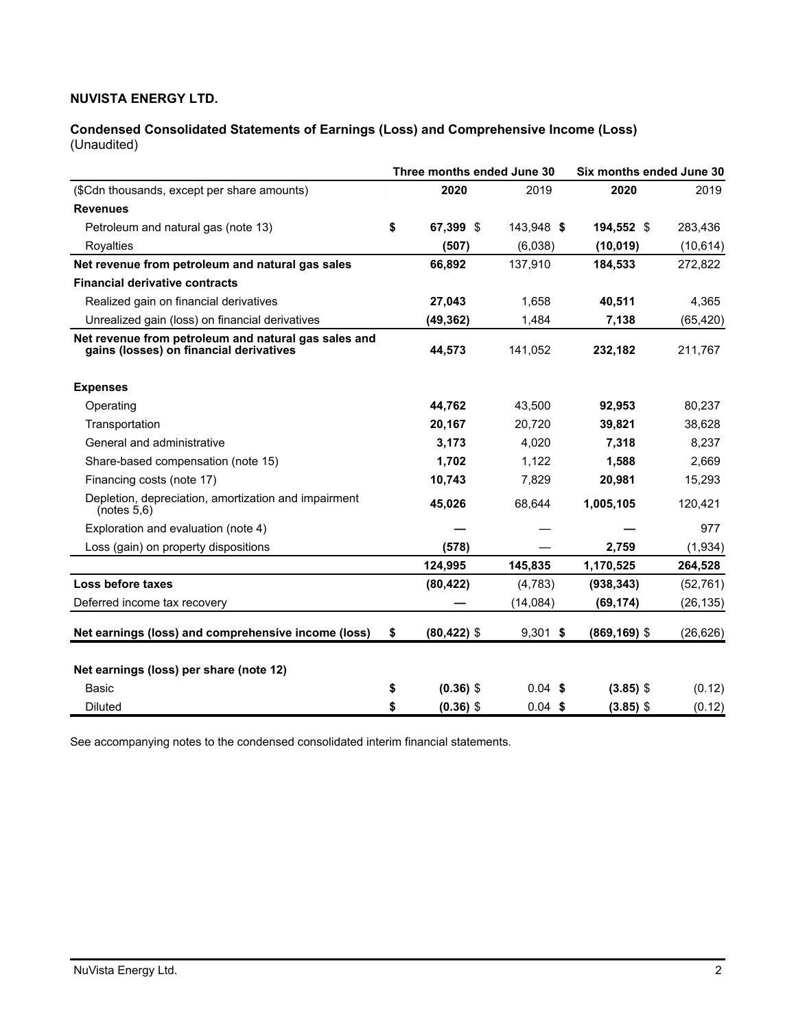**Condensed Consolidated Statements of Earnings (Loss) and Comprehensive Income (Loss)**  (Unaudited)

| Three months ended June 30                                                                      |    |                |            | Six months ended June 30 |           |  |  |  |
|-------------------------------------------------------------------------------------------------|----|----------------|------------|--------------------------|-----------|--|--|--|
| (\$Cdn thousands, except per share amounts)                                                     |    | 2020           | 2019       | 2020                     | 2019      |  |  |  |
| <b>Revenues</b>                                                                                 |    |                |            |                          |           |  |  |  |
| Petroleum and natural gas (note 13)                                                             | \$ | 67.399 \$      | 143,948 \$ | 194,552 \$               | 283,436   |  |  |  |
| Royalties                                                                                       |    | (507)          | (6,038)    | (10, 019)                | (10, 614) |  |  |  |
| Net revenue from petroleum and natural gas sales                                                |    | 66,892         | 137,910    | 184,533                  | 272,822   |  |  |  |
| <b>Financial derivative contracts</b>                                                           |    |                |            |                          |           |  |  |  |
| Realized gain on financial derivatives                                                          |    | 27,043         | 1,658      | 40,511                   | 4,365     |  |  |  |
| Unrealized gain (loss) on financial derivatives                                                 |    | (49, 362)      | 1,484      | 7,138                    | (65, 420) |  |  |  |
| Net revenue from petroleum and natural gas sales and<br>gains (losses) on financial derivatives |    | 44,573         | 141,052    | 232,182                  | 211,767   |  |  |  |
| <b>Expenses</b>                                                                                 |    |                |            |                          |           |  |  |  |
| Operating                                                                                       |    | 44,762         | 43,500     | 92,953                   | 80,237    |  |  |  |
| Transportation                                                                                  |    | 20,167         | 20,720     | 39,821                   | 38,628    |  |  |  |
| General and administrative                                                                      |    | 3,173          | 4,020      | 7,318                    | 8,237     |  |  |  |
| Share-based compensation (note 15)                                                              |    | 1,702          | 1,122      | 1,588                    | 2,669     |  |  |  |
| Financing costs (note 17)                                                                       |    | 10,743         | 7,829      | 20,981                   | 15,293    |  |  |  |
| Depletion, depreciation, amortization and impairment<br>(notes 5,6)                             |    | 45,026         | 68,644     | 1,005,105                | 120,421   |  |  |  |
| Exploration and evaluation (note 4)                                                             |    |                |            |                          | 977       |  |  |  |
| Loss (gain) on property dispositions                                                            |    | (578)          |            | 2,759                    | (1, 934)  |  |  |  |
|                                                                                                 |    | 124,995        | 145,835    | 1,170,525                | 264,528   |  |  |  |
| Loss before taxes                                                                               |    | (80, 422)      | (4,783)    | (938, 343)               | (52, 761) |  |  |  |
| Deferred income tax recovery                                                                    |    |                | (14,084)   | (69, 174)                | (26, 135) |  |  |  |
| Net earnings (loss) and comprehensive income (loss)                                             | \$ | $(80, 422)$ \$ | $9,301$ \$ | $(869, 169)$ \$          | (26, 626) |  |  |  |
| Net earnings (loss) per share (note 12)                                                         |    |                |            |                          |           |  |  |  |
| Basic                                                                                           | \$ | $(0.36)$ \$    | $0.04$ \$  | $(3.85)$ \$              | (0.12)    |  |  |  |
| <b>Diluted</b>                                                                                  | \$ | $(0.36)$ \$    | $0.04$ \$  | $(3.85)$ \$              | (0.12)    |  |  |  |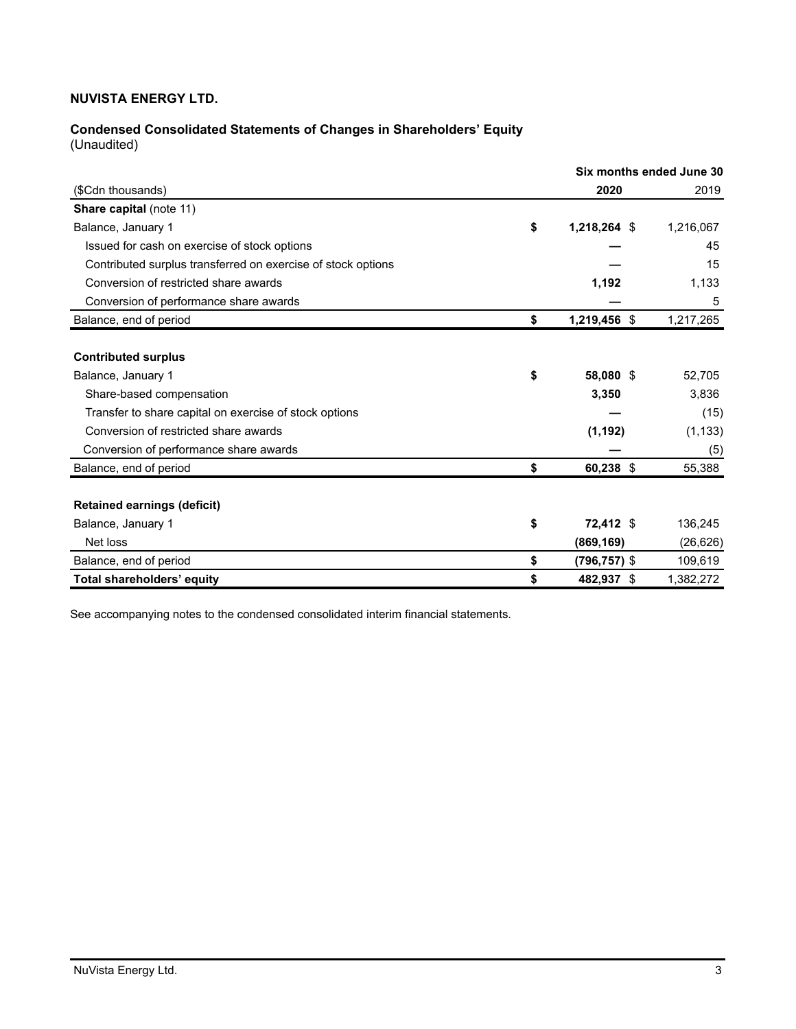# **Condensed Consolidated Statements of Changes in Shareholders' Equity**

(Unaudited)

|                                                              |                    | Six months ended June 30 |
|--------------------------------------------------------------|--------------------|--------------------------|
| (\$Cdn thousands)                                            | 2020               | 2019                     |
| Share capital (note 11)                                      |                    |                          |
| Balance, January 1                                           | \$<br>1,218,264 \$ | 1,216,067                |
| Issued for cash on exercise of stock options                 |                    | 45                       |
| Contributed surplus transferred on exercise of stock options |                    | 15                       |
| Conversion of restricted share awards                        | 1,192              | 1,133                    |
| Conversion of performance share awards                       |                    | 5                        |
| Balance, end of period                                       | \$<br>1,219,456 \$ | 1,217,265                |
|                                                              |                    |                          |
| <b>Contributed surplus</b>                                   |                    |                          |
| Balance, January 1                                           | \$<br>58,080 \$    | 52,705                   |
| Share-based compensation                                     | 3,350              | 3,836                    |
| Transfer to share capital on exercise of stock options       |                    | (15)                     |
| Conversion of restricted share awards                        | (1, 192)           | (1, 133)                 |
| Conversion of performance share awards                       |                    | (5)                      |
| Balance, end of period                                       | \$<br>60,238 \$    | 55,388                   |
|                                                              |                    |                          |
| <b>Retained earnings (deficit)</b>                           |                    |                          |
| Balance, January 1                                           | \$<br>72,412 \$    | 136,245                  |
| Net loss                                                     | (869, 169)         | (26, 626)                |
| Balance, end of period                                       | \$<br>(796,757) \$ | 109,619                  |
| Total shareholders' equity                                   | \$<br>482,937 \$   | 1,382,272                |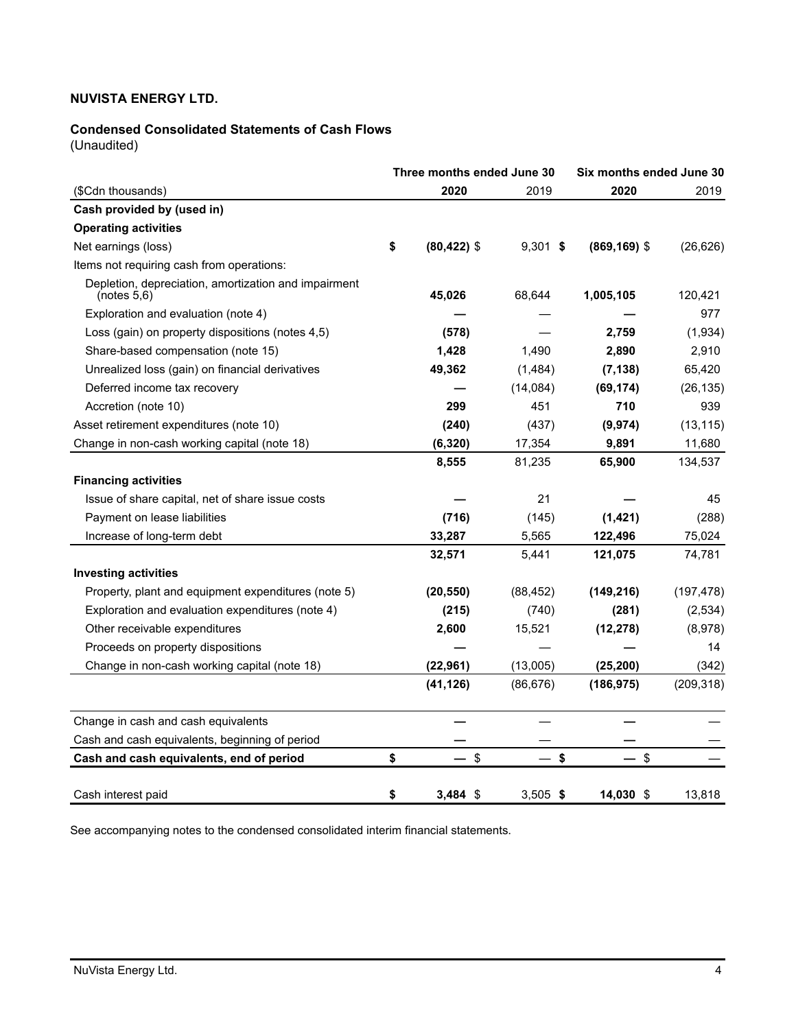# **Condensed Consolidated Statements of Cash Flows**

(Unaudited)

| Three months ended June 30                                          |    | Six months ended June 30 |            |                 |            |
|---------------------------------------------------------------------|----|--------------------------|------------|-----------------|------------|
| (\$Cdn thousands)                                                   |    | 2020                     | 2019       | 2020            | 2019       |
| Cash provided by (used in)                                          |    |                          |            |                 |            |
| <b>Operating activities</b>                                         |    |                          |            |                 |            |
| Net earnings (loss)                                                 | \$ | $(80, 422)$ \$           | $9,301$ \$ | $(869, 169)$ \$ | (26, 626)  |
| Items not requiring cash from operations:                           |    |                          |            |                 |            |
| Depletion, depreciation, amortization and impairment<br>(notes 5,6) |    | 45,026                   | 68,644     | 1,005,105       | 120,421    |
| Exploration and evaluation (note 4)                                 |    |                          |            |                 | 977        |
| Loss (gain) on property dispositions (notes 4,5)                    |    | (578)                    |            | 2,759           | (1,934)    |
| Share-based compensation (note 15)                                  |    | 1,428                    | 1,490      | 2,890           | 2,910      |
| Unrealized loss (gain) on financial derivatives                     |    | 49,362                   | (1,484)    | (7, 138)        | 65,420     |
| Deferred income tax recovery                                        |    |                          | (14,084)   | (69, 174)       | (26, 135)  |
| Accretion (note 10)                                                 |    | 299                      | 451        | 710             | 939        |
| Asset retirement expenditures (note 10)                             |    | (240)                    | (437)      | (9, 974)        | (13, 115)  |
| Change in non-cash working capital (note 18)                        |    | (6, 320)                 | 17,354     | 9,891           | 11,680     |
|                                                                     |    | 8,555                    | 81,235     | 65,900          | 134,537    |
| <b>Financing activities</b>                                         |    |                          |            |                 |            |
| Issue of share capital, net of share issue costs                    |    |                          | 21         |                 | 45         |
| Payment on lease liabilities                                        |    | (716)                    | (145)      | (1, 421)        | (288)      |
| Increase of long-term debt                                          |    | 33,287                   | 5,565      | 122,496         | 75,024     |
|                                                                     |    | 32,571                   | 5,441      | 121,075         | 74,781     |
| <b>Investing activities</b>                                         |    |                          |            |                 |            |
| Property, plant and equipment expenditures (note 5)                 |    | (20, 550)                | (88, 452)  | (149, 216)      | (197, 478) |
| Exploration and evaluation expenditures (note 4)                    |    | (215)                    | (740)      | (281)           | (2,534)    |
| Other receivable expenditures                                       |    | 2,600                    | 15,521     | (12, 278)       | (8,978)    |
| Proceeds on property dispositions                                   |    |                          |            |                 | 14         |
| Change in non-cash working capital (note 18)                        |    | (22, 961)                | (13,005)   | (25, 200)       | (342)      |
|                                                                     |    | (41, 126)                | (86, 676)  | (186, 975)      | (209, 318) |
| Change in cash and cash equivalents                                 |    |                          |            |                 |            |
| Cash and cash equivalents, beginning of period                      |    |                          |            |                 |            |
| Cash and cash equivalents, end of period                            | \$ | $\sqrt[6]{\frac{1}{2}}$  | \$         | $\mathfrak s$   |            |
| Cash interest paid                                                  | \$ | $3,484$ \$               | $3,505$ \$ | 14,030 \$       | 13,818     |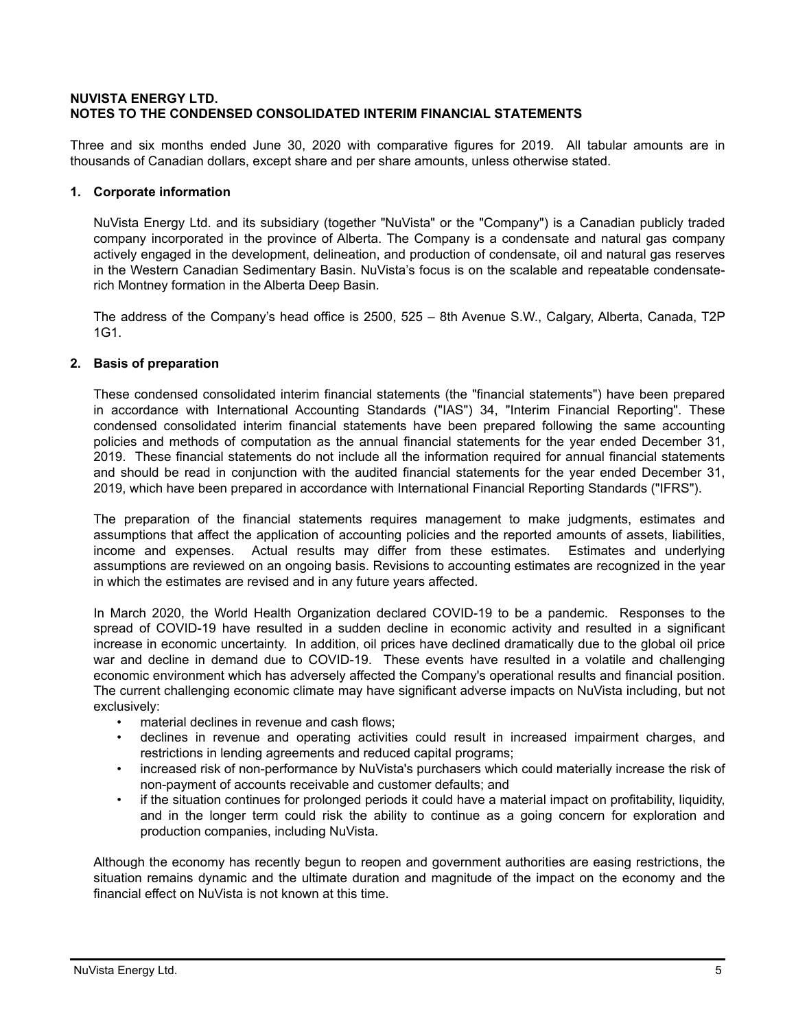# **NUVISTA ENERGY LTD. NOTES TO THE CONDENSED CONSOLIDATED INTERIM FINANCIAL STATEMENTS**

Three and six months ended June 30, 2020 with comparative figures for 2019. All tabular amounts are in thousands of Canadian dollars, except share and per share amounts, unless otherwise stated.

# **1. Corporate information**

NuVista Energy Ltd. and its subsidiary (together "NuVista" or the "Company") is a Canadian publicly traded company incorporated in the province of Alberta. The Company is a condensate and natural gas company actively engaged in the development, delineation, and production of condensate, oil and natural gas reserves in the Western Canadian Sedimentary Basin. NuVista's focus is on the scalable and repeatable condensaterich Montney formation in the Alberta Deep Basin.

The address of the Company's head office is 2500, 525 – 8th Avenue S.W., Calgary, Alberta, Canada, T2P 1G1.

# **2. Basis of preparation**

These condensed consolidated interim financial statements (the "financial statements") have been prepared in accordance with International Accounting Standards ("IAS") 34, "Interim Financial Reporting". These condensed consolidated interim financial statements have been prepared following the same accounting policies and methods of computation as the annual financial statements for the year ended December 31, 2019. These financial statements do not include all the information required for annual financial statements and should be read in conjunction with the audited financial statements for the year ended December 31, 2019, which have been prepared in accordance with International Financial Reporting Standards ("IFRS").

The preparation of the financial statements requires management to make judgments, estimates and assumptions that affect the application of accounting policies and the reported amounts of assets, liabilities, income and expenses. Actual results may differ from these estimates. Estimates and underlying assumptions are reviewed on an ongoing basis. Revisions to accounting estimates are recognized in the year in which the estimates are revised and in any future years affected.

In March 2020, the World Health Organization declared COVID-19 to be a pandemic. Responses to the spread of COVID-19 have resulted in a sudden decline in economic activity and resulted in a significant increase in economic uncertainty. In addition, oil prices have declined dramatically due to the global oil price war and decline in demand due to COVID-19. These events have resulted in a volatile and challenging economic environment which has adversely affected the Company's operational results and financial position. The current challenging economic climate may have significant adverse impacts on NuVista including, but not exclusively:

- material declines in revenue and cash flows;
- declines in revenue and operating activities could result in increased impairment charges, and restrictions in lending agreements and reduced capital programs;
- increased risk of non-performance by NuVista's purchasers which could materially increase the risk of non-payment of accounts receivable and customer defaults; and
- if the situation continues for prolonged periods it could have a material impact on profitability, liquidity, and in the longer term could risk the ability to continue as a going concern for exploration and production companies, including NuVista.

Although the economy has recently begun to reopen and government authorities are easing restrictions, the situation remains dynamic and the ultimate duration and magnitude of the impact on the economy and the financial effect on NuVista is not known at this time.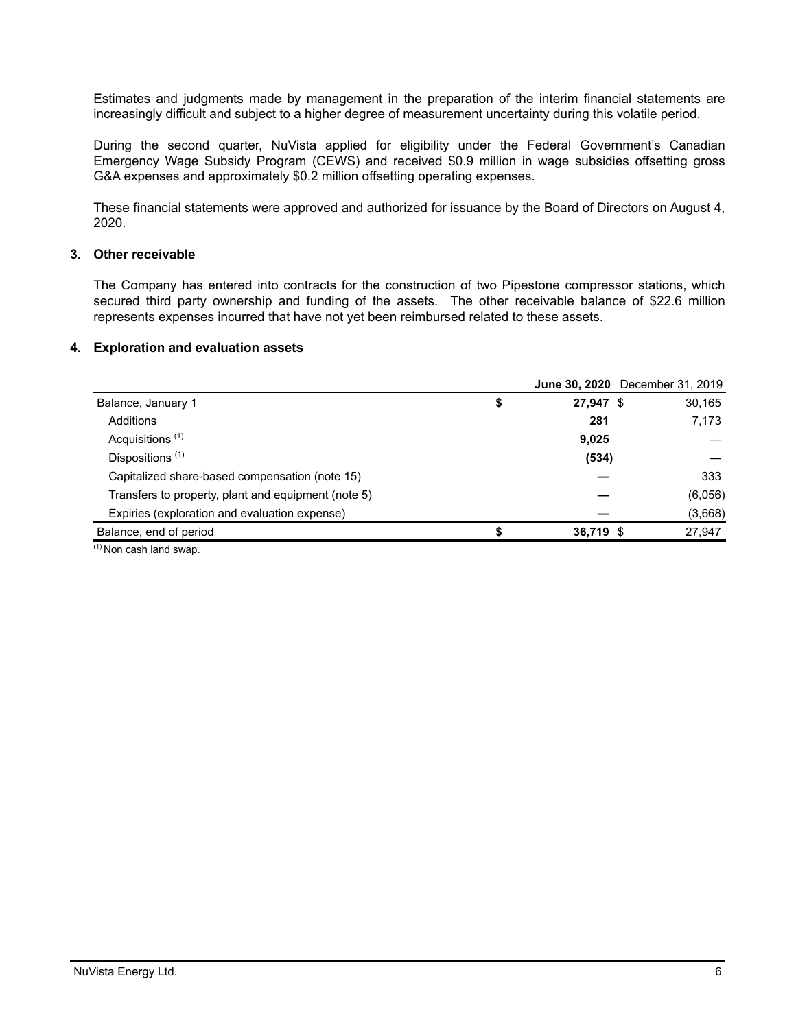Estimates and judgments made by management in the preparation of the interim financial statements are increasingly difficult and subject to a higher degree of measurement uncertainty during this volatile period.

During the second quarter, NuVista applied for eligibility under the Federal Government's Canadian Emergency Wage Subsidy Program (CEWS) and received \$0.9 million in wage subsidies offsetting gross G&A expenses and approximately \$0.2 million offsetting operating expenses.

These financial statements were approved and authorized for issuance by the Board of Directors on August 4, 2020.

# **3. Other receivable**

The Company has entered into contracts for the construction of two Pipestone compressor stations, which secured third party ownership and funding of the assets. The other receivable balance of \$22.6 million represents expenses incurred that have not yet been reimbursed related to these assets.

#### **4. Exploration and evaluation assets**

|                                                     |                   | <b>June 30, 2020</b> December 31, 2019 |
|-----------------------------------------------------|-------------------|----------------------------------------|
| Balance, January 1                                  | \$<br>$27,947$ \$ | 30,165                                 |
| Additions                                           | 281               | 7,173                                  |
| Acquisitions <sup>(1)</sup>                         | 9,025             |                                        |
| Dispositions <sup>(1)</sup>                         | (534)             |                                        |
| Capitalized share-based compensation (note 15)      |                   | 333                                    |
| Transfers to property, plant and equipment (note 5) |                   | (6,056)                                |
| Expiries (exploration and evaluation expense)       |                   | (3,668)                                |
| Balance, end of period                              | 36,719 \$         | 27,947                                 |

 $(1)$  Non cash land swap.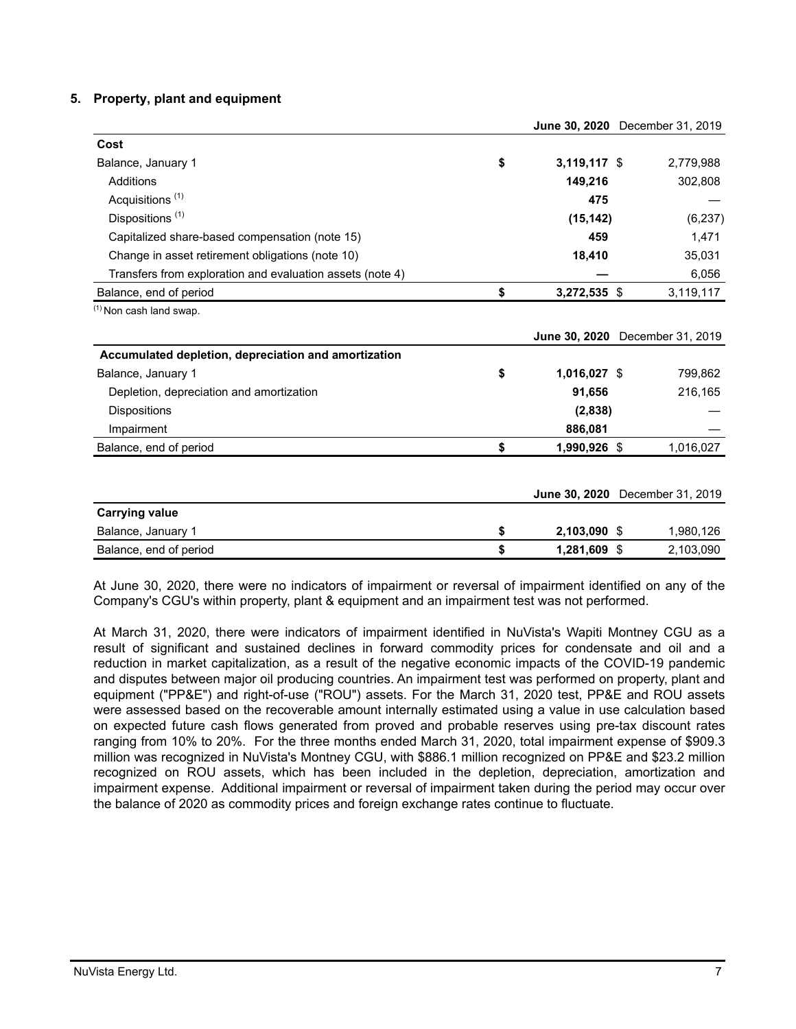# **5. Property, plant and equipment**

|                    | <b>JUNE 30, ZUZU</b> December 31, ZU19 |
|--------------------|----------------------------------------|
|                    |                                        |
| \$<br>3,119,117 \$ | 2,779,988                              |
| 149,216            | 302,808                                |
| 475                |                                        |
| (15, 142)          | (6, 237)                               |
| 459                | 1,471                                  |
| 18,410             | 35,031                                 |
|                    | 6,056                                  |
| \$<br>3,272,535 \$ | 3,119,117                              |
|                    |                                        |
|                    | June 30, 2020 December 31, 2019        |
|                    |                                        |
| \$<br>1,016,027 \$ | 799,862                                |
| 91,656             | 216,165                                |
| (2,838)            |                                        |
| 886,081            |                                        |
| \$<br>1,990,926 \$ | 1,016,027                              |
|                    |                                        |
|                    | June 30, 2020 December 31, 2019        |
|                    |                                        |
| 2,103,090 \$       | 1,980,126                              |
| \$<br>1,281,609 \$ | 2,103,090                              |
| \$                 |                                        |

At June 30, 2020, there were no indicators of impairment or reversal of impairment identified on any of the Company's CGU's within property, plant & equipment and an impairment test was not performed.

At March 31, 2020, there were indicators of impairment identified in NuVista's Wapiti Montney CGU as a result of significant and sustained declines in forward commodity prices for condensate and oil and a reduction in market capitalization, as a result of the negative economic impacts of the COVID-19 pandemic and disputes between major oil producing countries. An impairment test was performed on property, plant and equipment ("PP&E") and right-of-use ("ROU") assets. For the March 31, 2020 test, PP&E and ROU assets were assessed based on the recoverable amount internally estimated using a value in use calculation based on expected future cash flows generated from proved and probable reserves using pre-tax discount rates ranging from 10% to 20%. For the three months ended March 31, 2020, total impairment expense of \$909.3 million was recognized in NuVista's Montney CGU, with \$886.1 million recognized on PP&E and \$23.2 million recognized on ROU assets, which has been included in the depletion, depreciation, amortization and impairment expense. Additional impairment or reversal of impairment taken during the period may occur over the balance of 2020 as commodity prices and foreign exchange rates continue to fluctuate.

**June 30, 2020** December 31, 2019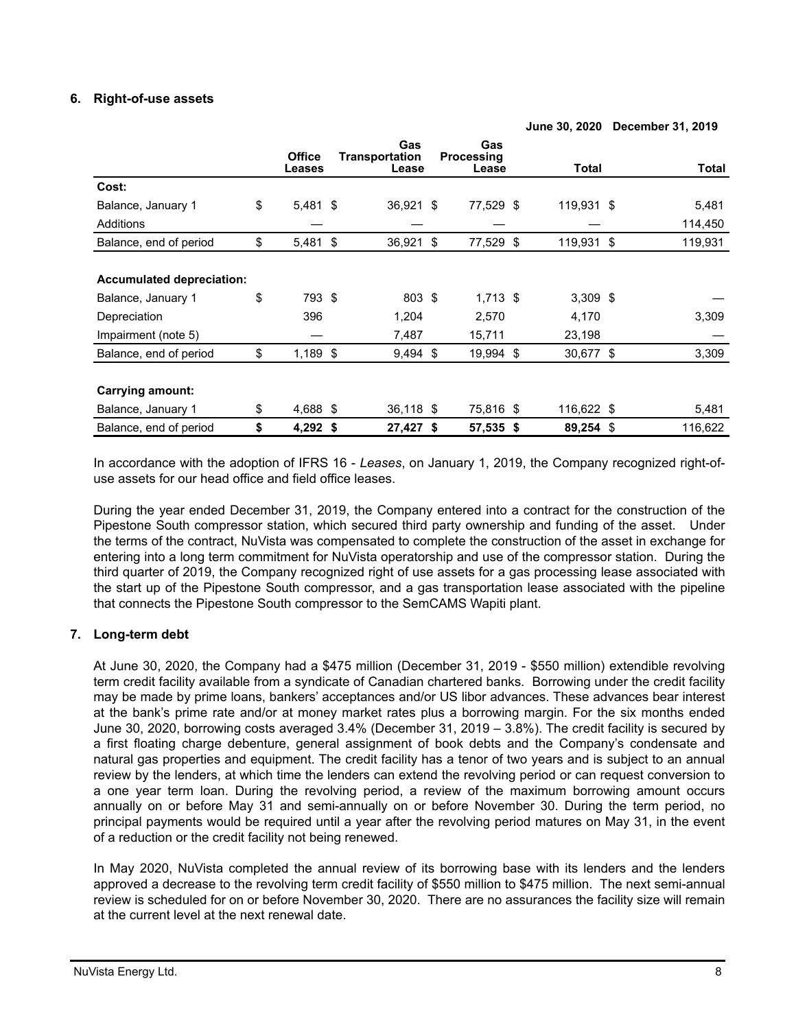# **6. Right-of-use assets**

|                                  | <b>Office</b>    | Gas<br>Transportation |     | Gas<br><b>Processing</b> |              |               |
|----------------------------------|------------------|-----------------------|-----|--------------------------|--------------|---------------|
|                                  | Leases           | Lease                 |     | Lease                    | <b>Total</b> | <b>Total</b>  |
| Cost:                            |                  |                       |     |                          |              |               |
| Balance, January 1               | \$<br>5,481 \$   | 36,921 \$             |     | 77,529 \$                | 119,931 \$   | 5,481         |
| Additions                        |                  |                       |     |                          |              | 114,450       |
| Balance, end of period           | \$<br>$5,481$ \$ | 36,921                | -\$ | 77,529 \$                | 119,931      | \$<br>119,931 |
|                                  |                  |                       |     |                          |              |               |
| <b>Accumulated depreciation:</b> |                  |                       |     |                          |              |               |
| Balance, January 1               | \$<br>793 \$     | 803 \$                |     | $1,713$ \$               | $3,309$ \$   |               |
| Depreciation                     | 396              | 1,204                 |     | 2,570                    | 4,170        | 3,309         |
| Impairment (note 5)              |                  | 7,487                 |     | 15,711                   | 23,198       |               |
| Balance, end of period           | \$<br>$1,189$ \$ | $9,494$ \$            |     | 19,994 \$                | 30,677 \$    | 3,309         |
|                                  |                  |                       |     |                          |              |               |
| <b>Carrying amount:</b>          |                  |                       |     |                          |              |               |
| Balance, January 1               | \$<br>4,688 \$   | 36,118 \$             |     | 75,816 \$                | 116,622 \$   | 5,481         |
| Balance, end of period           | \$<br>$4,292$ \$ | 27,427 \$             |     | 57,535 \$                | 89,254 \$    | 116,622       |

**June 30, 2020 December 31, 2019**

In accordance with the adoption of IFRS 16 - *Leases*, on January 1, 2019, the Company recognized right-ofuse assets for our head office and field office leases.

During the year ended December 31, 2019, the Company entered into a contract for the construction of the Pipestone South compressor station, which secured third party ownership and funding of the asset. Under the terms of the contract, NuVista was compensated to complete the construction of the asset in exchange for entering into a long term commitment for NuVista operatorship and use of the compressor station. During the third quarter of 2019, the Company recognized right of use assets for a gas processing lease associated with the start up of the Pipestone South compressor, and a gas transportation lease associated with the pipeline that connects the Pipestone South compressor to the SemCAMS Wapiti plant.

# **7. Long-term debt**

At June 30, 2020, the Company had a \$475 million (December 31, 2019 - \$550 million) extendible revolving term credit facility available from a syndicate of Canadian chartered banks. Borrowing under the credit facility may be made by prime loans, bankers' acceptances and/or US libor advances. These advances bear interest at the bank's prime rate and/or at money market rates plus a borrowing margin. For the six months ended June 30, 2020, borrowing costs averaged 3.4% (December 31, 2019 – 3.8%). The credit facility is secured by a first floating charge debenture, general assignment of book debts and the Company's condensate and natural gas properties and equipment. The credit facility has a tenor of two years and is subject to an annual review by the lenders, at which time the lenders can extend the revolving period or can request conversion to a one year term loan. During the revolving period, a review of the maximum borrowing amount occurs annually on or before May 31 and semi-annually on or before November 30. During the term period, no principal payments would be required until a year after the revolving period matures on May 31, in the event of a reduction or the credit facility not being renewed.

In May 2020, NuVista completed the annual review of its borrowing base with its lenders and the lenders approved a decrease to the revolving term credit facility of \$550 million to \$475 million. The next semi-annual review is scheduled for on or before November 30, 2020. There are no assurances the facility size will remain at the current level at the next renewal date.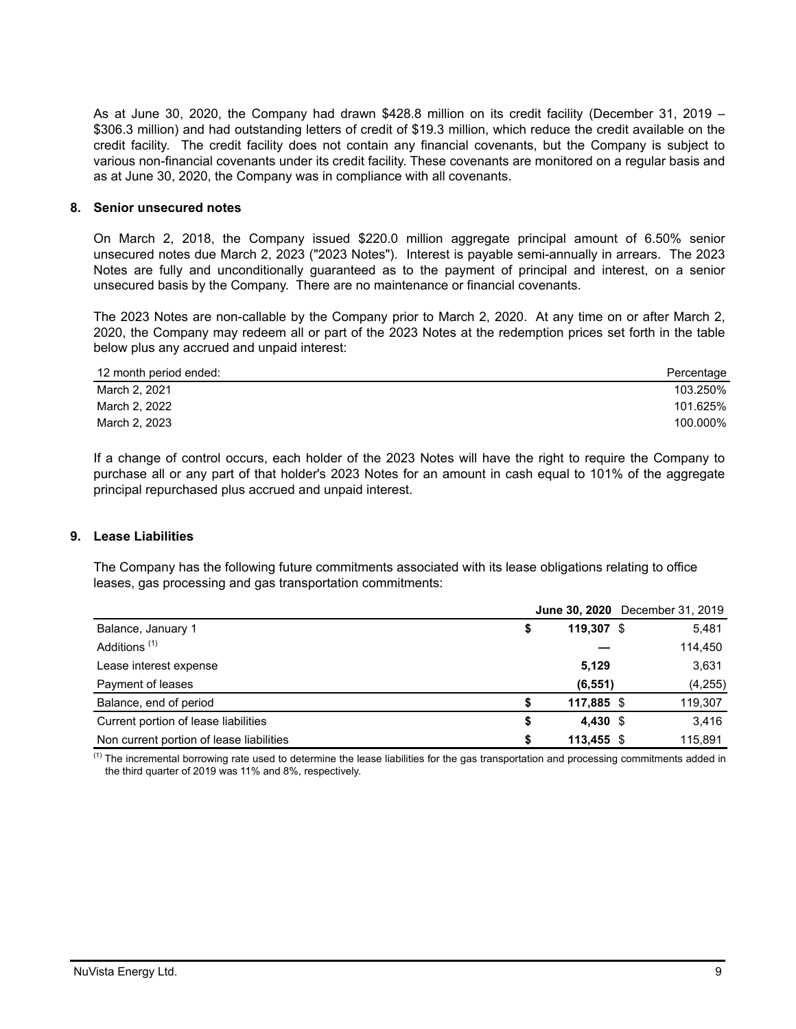As at June 30, 2020, the Company had drawn \$428.8 million on its credit facility (December 31, 2019 – \$306.3 million) and had outstanding letters of credit of \$19.3 million, which reduce the credit available on the credit facility. The credit facility does not contain any financial covenants, but the Company is subject to various non-financial covenants under its credit facility. These covenants are monitored on a regular basis and as at June 30, 2020, the Company was in compliance with all covenants.

# **8. Senior unsecured notes**

On March 2, 2018, the Company issued \$220.0 million aggregate principal amount of 6.50% senior unsecured notes due March 2, 2023 ("2023 Notes"). Interest is payable semi-annually in arrears. The 2023 Notes are fully and unconditionally guaranteed as to the payment of principal and interest, on a senior unsecured basis by the Company. There are no maintenance or financial covenants.

The 2023 Notes are non-callable by the Company prior to March 2, 2020. At any time on or after March 2, 2020, the Company may redeem all or part of the 2023 Notes at the redemption prices set forth in the table below plus any accrued and unpaid interest:

| 12 month period ended: | Percentage |
|------------------------|------------|
| March 2, 2021          | 103.250%   |
| March 2, 2022          | 101.625%   |
| March 2, 2023          | 100.000%   |

If a change of control occurs, each holder of the 2023 Notes will have the right to require the Company to purchase all or any part of that holder's 2023 Notes for an amount in cash equal to 101% of the aggregate principal repurchased plus accrued and unpaid interest.

# **9. Lease Liabilities**

 The Company has the following future commitments associated with its lease obligations relating to office leases, gas processing and gas transportation commitments:

|                                          |                | June 30, 2020 December 31, 2019 |
|------------------------------------------|----------------|---------------------------------|
| Balance, January 1                       | 119.307 \$     | 5,481                           |
| Additions <sup>(1)</sup>                 |                | 114,450                         |
| Lease interest expense                   | 5,129          | 3,631                           |
| Payment of leases                        | (6, 551)       | (4,255)                         |
| Balance, end of period                   | 117,885 \$     | 119,307                         |
| Current portion of lease liabilities     | 4.430 \$<br>\$ | 3,416                           |
| Non current portion of lease liabilities | 113.455 \$     | 115.891                         |

<sup>(1)</sup> The incremental borrowing rate used to determine the lease liabilities for the gas transportation and processing commitments added in the third quarter of 2019 was 11% and 8%, respectively.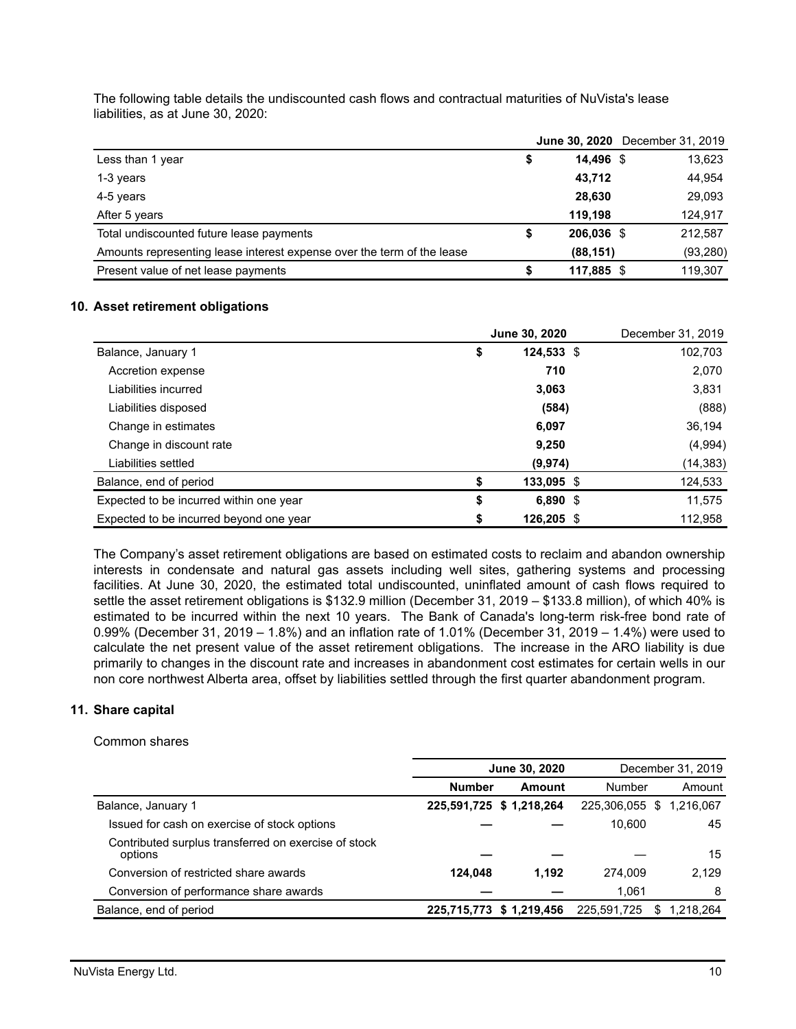The following table details the undiscounted cash flows and contractual maturities of NuVista's lease liabilities, as at June 30, 2020:

|                                                                        |            | <b>June 30, 2020</b> December 31, 2019 |
|------------------------------------------------------------------------|------------|----------------------------------------|
| Less than 1 year                                                       | 14,496 \$  | 13,623                                 |
| 1-3 years                                                              | 43,712     | 44,954                                 |
| 4-5 years                                                              | 28,630     | 29,093                                 |
| After 5 years                                                          | 119.198    | 124,917                                |
| Total undiscounted future lease payments                               | 206,036 \$ | 212,587                                |
| Amounts representing lease interest expense over the term of the lease | (88, 151)  | (93, 280)                              |
| Present value of net lease payments                                    | 117,885 \$ | 119,307                                |

#### **10. Asset retirement obligations**

|                                         | <b>June 30, 2020</b> | December 31, 2019 |
|-----------------------------------------|----------------------|-------------------|
| Balance, January 1                      | \$<br>$124,533$ \$   | 102,703           |
| Accretion expense                       | 710                  | 2,070             |
| Liabilities incurred                    | 3,063                | 3,831             |
| Liabilities disposed                    | (584)                | (888)             |
| Change in estimates                     | 6,097                | 36,194            |
| Change in discount rate                 | 9,250                | (4,994)           |
| Liabilities settled                     | (9,974)              | (14, 383)         |
| Balance, end of period                  | \$<br>133,095 \$     | 124,533           |
| Expected to be incurred within one year | \$<br>$6,890$ \$     | 11,575            |
| Expected to be incurred beyond one year | \$<br>126,205 \$     | 112.958           |

The Company's asset retirement obligations are based on estimated costs to reclaim and abandon ownership interests in condensate and natural gas assets including well sites, gathering systems and processing facilities. At June 30, 2020, the estimated total undiscounted, uninflated amount of cash flows required to settle the asset retirement obligations is \$132.9 million (December 31, 2019 – \$133.8 million), of which 40% is estimated to be incurred within the next 10 years. The Bank of Canada's long-term risk-free bond rate of 0.99% (December 31, 2019 – 1.8%) and an inflation rate of 1.01% (December 31, 2019 – 1.4%) were used to calculate the net present value of the asset retirement obligations. The increase in the ARO liability is due primarily to changes in the discount rate and increases in abandonment cost estimates for certain wells in our non core northwest Alberta area, offset by liabilities settled through the first quarter abandonment program.

## **11. Share capital**

#### Common shares

|                                                                 |               | June 30, 2020            |                          | December 31, 2019 |
|-----------------------------------------------------------------|---------------|--------------------------|--------------------------|-------------------|
|                                                                 | <b>Number</b> | Amount                   | Number                   | Amount            |
| Balance, January 1                                              |               | 225,591,725 \$ 1,218,264 | 225,306,055 \$ 1,216,067 |                   |
| Issued for cash on exercise of stock options                    |               |                          | 10.600                   | 45                |
| Contributed surplus transferred on exercise of stock<br>options |               |                          |                          | 15                |
| Conversion of restricted share awards                           | 124.048       | 1.192                    | 274.009                  | 2.129             |
| Conversion of performance share awards                          |               |                          | 1.061                    | 8                 |
| Balance, end of period                                          |               | 225,715,773 \$ 1,219,456 | 225,591,725              | 1,218,264<br>\$.  |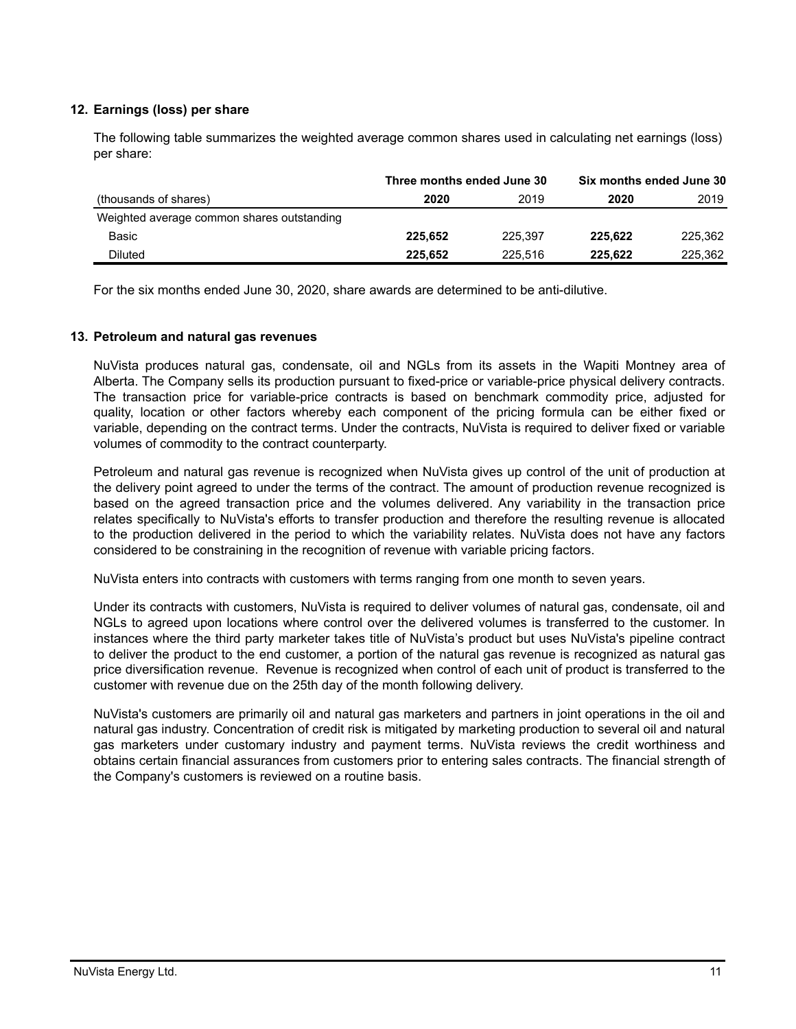# **12. Earnings (loss) per share**

The following table summarizes the weighted average common shares used in calculating net earnings (loss) per share:

|                                            | Three months ended June 30 |         | Six months ended June 30 |         |  |
|--------------------------------------------|----------------------------|---------|--------------------------|---------|--|
| (thousands of shares)                      | 2020                       | 2019    | 2020                     | 2019    |  |
| Weighted average common shares outstanding |                            |         |                          |         |  |
| Basic                                      | 225.652                    | 225.397 | 225.622                  | 225,362 |  |
| <b>Diluted</b>                             | 225.652                    | 225.516 | 225.622                  | 225.362 |  |

For the six months ended June 30, 2020, share awards are determined to be anti-dilutive.

# **13. Petroleum and natural gas revenues**

NuVista produces natural gas, condensate, oil and NGLs from its assets in the Wapiti Montney area of Alberta. The Company sells its production pursuant to fixed-price or variable-price physical delivery contracts. The transaction price for variable-price contracts is based on benchmark commodity price, adjusted for quality, location or other factors whereby each component of the pricing formula can be either fixed or variable, depending on the contract terms. Under the contracts, NuVista is required to deliver fixed or variable volumes of commodity to the contract counterparty.

Petroleum and natural gas revenue is recognized when NuVista gives up control of the unit of production at the delivery point agreed to under the terms of the contract. The amount of production revenue recognized is based on the agreed transaction price and the volumes delivered. Any variability in the transaction price relates specifically to NuVista's efforts to transfer production and therefore the resulting revenue is allocated to the production delivered in the period to which the variability relates. NuVista does not have any factors considered to be constraining in the recognition of revenue with variable pricing factors.

NuVista enters into contracts with customers with terms ranging from one month to seven years.

Under its contracts with customers, NuVista is required to deliver volumes of natural gas, condensate, oil and NGLs to agreed upon locations where control over the delivered volumes is transferred to the customer. In instances where the third party marketer takes title of NuVista's product but uses NuVista's pipeline contract to deliver the product to the end customer, a portion of the natural gas revenue is recognized as natural gas price diversification revenue. Revenue is recognized when control of each unit of product is transferred to the customer with revenue due on the 25th day of the month following delivery.

NuVista's customers are primarily oil and natural gas marketers and partners in joint operations in the oil and natural gas industry. Concentration of credit risk is mitigated by marketing production to several oil and natural gas marketers under customary industry and payment terms. NuVista reviews the credit worthiness and obtains certain financial assurances from customers prior to entering sales contracts. The financial strength of the Company's customers is reviewed on a routine basis.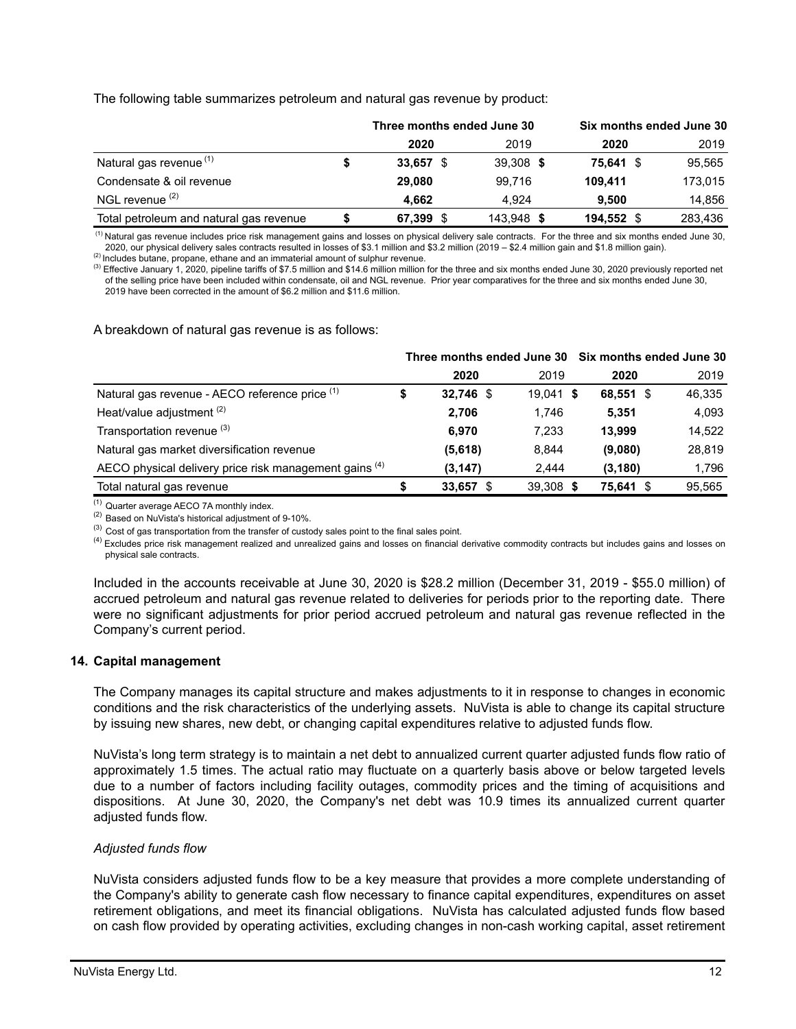# The following table summarizes petroleum and natural gas revenue by product:

|                                         |   | Three months ended June 30 |      |            |  | Six months ended June 30 |         |
|-----------------------------------------|---|----------------------------|------|------------|--|--------------------------|---------|
|                                         |   | 2020                       |      | 2019       |  | 2020                     | 2019    |
| Natural gas revenue <sup>(1)</sup>      | S | 33.657                     |      | 39,308 \$  |  | 75,641 \$                | 95,565  |
| Condensate & oil revenue                |   | 29,080                     |      | 99.716     |  | 109.411                  | 173,015 |
| NGL revenue <sup>(2)</sup>              |   | 4.662                      |      | 4.924      |  | 9.500                    | 14,856  |
| Total petroleum and natural gas revenue |   | 67,399                     | - \$ | 143,948 \$ |  | 194,552                  | 283,436 |

 (1) Natural gas revenue includes price risk management gains and losses on physical delivery sale contracts. For the three and six months ended June 30, 2020, our physical delivery sales contracts resulted in losses of \$3.1 million and \$3.2 million (2019 – \$2.4 million gain and \$1.8 million gain).

(2) Includes butane, propane, ethane and an immaterial amount of sulphur revenue.

<sup>(3)</sup> Effective January 1, 2020, pipeline tariffs of \$7.5 million and \$14.6 million million for the three and six months ended June 30, 2020 previously reported net of the selling price have been included within condensate, oil and NGL revenue. Prior year comparatives for the three and six months ended June 30, 2019 have been corrected in the amount of \$6.2 million and \$11.6 million.

A breakdown of natural gas revenue is as follows:

|                                                        | Three months ended June 30 Six months ended June 30 |           |             |           |        |  |
|--------------------------------------------------------|-----------------------------------------------------|-----------|-------------|-----------|--------|--|
|                                                        |                                                     | 2020      | 2019        | 2020      | 2019   |  |
| Natural gas revenue - AECO reference price (1)         | จ                                                   | 32,746 \$ | $19.041$ \$ | 68,551 \$ | 46,335 |  |
| Heat/value adjustment <sup>(2)</sup>                   |                                                     | 2.706     | 1.746       | 5.351     | 4,093  |  |
| Transportation revenue (3)                             |                                                     | 6.970     | 7.233       | 13.999    | 14,522 |  |
| Natural gas market diversification revenue             |                                                     | (5,618)   | 8,844       | (9,080)   | 28,819 |  |
| AECO physical delivery price risk management gains (4) |                                                     | (3, 147)  | 2,444       | (3, 180)  | 1,796  |  |
| Total natural gas revenue                              | S                                                   | 33,657 \$ | 39,308 \$   | 75.641    | 95,565 |  |

(1) Quarter average AECO 7A monthly index.

(2) Based on NuVista's historical adjustment of 9-10%.

<sup>(3)</sup> Cost of gas transportation from the transfer of custody sales point to the final sales point.

<sup>(4)</sup> Excludes price risk management realized and unrealized gains and losses on financial derivative commodity contracts but includes gains and losses on physical sale contracts.

Included in the accounts receivable at June 30, 2020 is \$28.2 million (December 31, 2019 - \$55.0 million) of accrued petroleum and natural gas revenue related to deliveries for periods prior to the reporting date. There were no significant adjustments for prior period accrued petroleum and natural gas revenue reflected in the Company's current period.

#### **14. Capital management**

The Company manages its capital structure and makes adjustments to it in response to changes in economic conditions and the risk characteristics of the underlying assets. NuVista is able to change its capital structure by issuing new shares, new debt, or changing capital expenditures relative to adjusted funds flow.

NuVista's long term strategy is to maintain a net debt to annualized current quarter adjusted funds flow ratio of approximately 1.5 times. The actual ratio may fluctuate on a quarterly basis above or below targeted levels due to a number of factors including facility outages, commodity prices and the timing of acquisitions and dispositions. At June 30, 2020, the Company's net debt was 10.9 times its annualized current quarter adjusted funds flow.

#### *Adjusted funds flow*

NuVista considers adjusted funds flow to be a key measure that provides a more complete understanding of the Company's ability to generate cash flow necessary to finance capital expenditures, expenditures on asset retirement obligations, and meet its financial obligations. NuVista has calculated adjusted funds flow based on cash flow provided by operating activities, excluding changes in non-cash working capital, asset retirement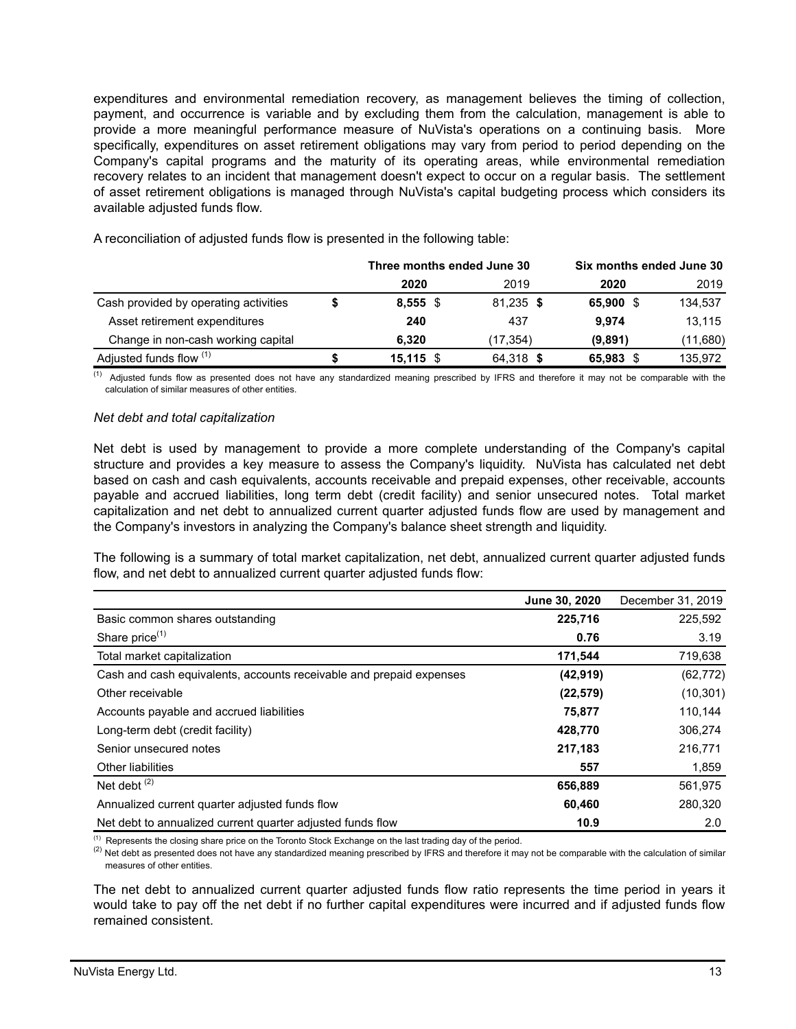expenditures and environmental remediation recovery, as management believes the timing of collection, payment, and occurrence is variable and by excluding them from the calculation, management is able to provide a more meaningful performance measure of NuVista's operations on a continuing basis. More specifically, expenditures on asset retirement obligations may vary from period to period depending on the Company's capital programs and the maturity of its operating areas, while environmental remediation recovery relates to an incident that management doesn't expect to occur on a regular basis. The settlement of asset retirement obligations is managed through NuVista's capital budgeting process which considers its available adjusted funds flow.

|                                       | Three months ended June 30 |           | Six months ended June 30 |          |
|---------------------------------------|----------------------------|-----------|--------------------------|----------|
|                                       | 2020                       | 2019      | 2020                     | 2019     |
| Cash provided by operating activities | $8,555$ \$                 | 81,235 \$ | 65,900 \$                | 134,537  |
| Asset retirement expenditures         | 240                        | 437       | 9.974                    | 13,115   |
| Change in non-cash working capital    | 6.320                      | (17,354)  | (9,891)                  | (11,680) |
| Adjusted funds flow (1)               | $15,115$ \$                | 64,318 \$ | 65,983 \$                | 135,972  |

A reconciliation of adjusted funds flow is presented in the following table:

(1) Adjusted funds flow as presented does not have any standardized meaning prescribed by IFRS and therefore it may not be comparable with the calculation of similar measures of other entities.

#### *Net debt and total capitalization*

Net debt is used by management to provide a more complete understanding of the Company's capital structure and provides a key measure to assess the Company's liquidity. NuVista has calculated net debt based on cash and cash equivalents, accounts receivable and prepaid expenses, other receivable, accounts payable and accrued liabilities, long term debt (credit facility) and senior unsecured notes. Total market capitalization and net debt to annualized current quarter adjusted funds flow are used by management and the Company's investors in analyzing the Company's balance sheet strength and liquidity.

The following is a summary of total market capitalization, net debt, annualized current quarter adjusted funds flow, and net debt to annualized current quarter adjusted funds flow:

|                                                                     | June 30, 2020 | December 31, 2019 |
|---------------------------------------------------------------------|---------------|-------------------|
| Basic common shares outstanding                                     | 225,716       | 225,592           |
| Share price <sup>(1)</sup>                                          | 0.76          | 3.19              |
| Total market capitalization                                         | 171,544       | 719,638           |
| Cash and cash equivalents, accounts receivable and prepaid expenses | (42, 919)     | (62, 772)         |
| Other receivable                                                    | (22, 579)     | (10, 301)         |
| Accounts payable and accrued liabilities                            | 75,877        | 110,144           |
| Long-term debt (credit facility)                                    | 428.770       | 306,274           |
| Senior unsecured notes                                              | 217,183       | 216,771           |
| <b>Other liabilities</b>                                            | 557           | 1,859             |
| Net debt $(2)$                                                      | 656,889       | 561,975           |
| Annualized current quarter adjusted funds flow                      | 60.460        | 280,320           |
| Net debt to annualized current quarter adjusted funds flow          | 10.9          | 2.0               |

 $<sup>(1)</sup>$  Represents the closing share price on the Toronto Stock Exchange on the last trading day of the period.</sup>

<sup>(2)</sup> Net debt as presented does not have any standardized meaning prescribed by IFRS and therefore it may not be comparable with the calculation of similar measures of other entities.

The net debt to annualized current quarter adjusted funds flow ratio represents the time period in years it would take to pay off the net debt if no further capital expenditures were incurred and if adjusted funds flow remained consistent.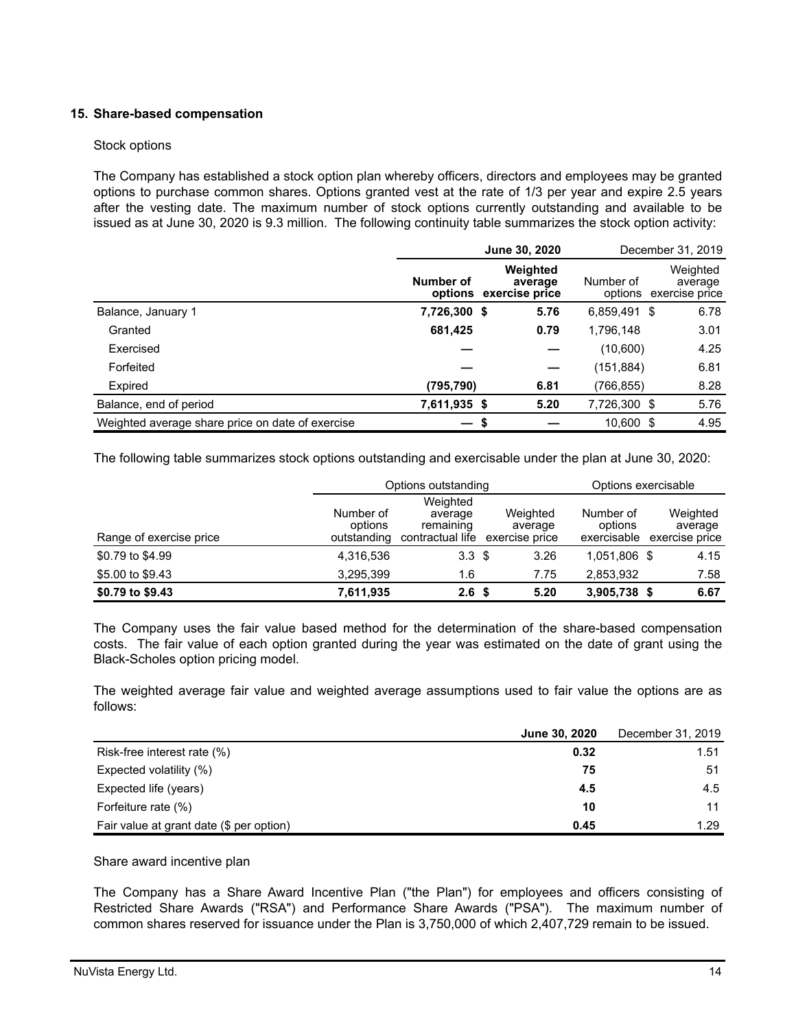# **15. Share-based compensation**

# Stock options

The Company has established a stock option plan whereby officers, directors and employees may be granted options to purchase common shares. Options granted vest at the rate of 1/3 per year and expire 2.5 years after the vesting date. The maximum number of stock options currently outstanding and available to be issued as at June 30, 2020 is 9.3 million. The following continuity table summarizes the stock option activity:

|                                                  |              | June 30, 2020                                 |              | December 31, 2019                             |  |
|--------------------------------------------------|--------------|-----------------------------------------------|--------------|-----------------------------------------------|--|
|                                                  | Number of    | Weighted<br>average<br>options exercise price | Number of    | Weighted<br>average<br>options exercise price |  |
| Balance, January 1                               | 7,726,300 \$ | 5.76                                          | 6,859,491 \$ | 6.78                                          |  |
| Granted                                          | 681,425      | 0.79                                          | 1,796,148    | 3.01                                          |  |
| Exercised                                        |              |                                               | (10,600)     | 4.25                                          |  |
| Forfeited                                        |              |                                               | (151, 884)   | 6.81                                          |  |
| Expired                                          | (795, 790)   | 6.81                                          | (766, 855)   | 8.28                                          |  |
| Balance, end of period                           | 7,611,935 \$ | 5.20                                          | 7,726,300 \$ | 5.76                                          |  |
| Weighted average share price on date of exercise |              |                                               | 10,600 \$    | 4.95                                          |  |

The following table summarizes stock options outstanding and exercisable under the plan at June 30, 2020:

|                         | Options outstanding                 |                                                      |                                       | Options exercisable                 |                                       |  |
|-------------------------|-------------------------------------|------------------------------------------------------|---------------------------------------|-------------------------------------|---------------------------------------|--|
| Range of exercise price | Number of<br>options<br>outstanding | Weighted<br>average<br>remaining<br>contractual life | Weighted<br>average<br>exercise price | Number of<br>options<br>exercisable | Weighted<br>average<br>exercise price |  |
| \$0.79 to \$4.99        | 4,316,536                           | 3.3 <sup>5</sup>                                     | 3.26                                  | 1.051.806 \$                        | 4.15                                  |  |
| \$5.00 to \$9.43        | 3.295.399                           | 1.6                                                  | 7.75                                  | 2.853.932                           | 7.58                                  |  |
| \$0.79 to \$9.43        | 7,611,935                           | 2.6 <sup>5</sup>                                     | 5.20                                  | 3,905,738 \$                        | 6.67                                  |  |

The Company uses the fair value based method for the determination of the share-based compensation costs. The fair value of each option granted during the year was estimated on the date of grant using the Black-Scholes option pricing model.

The weighted average fair value and weighted average assumptions used to fair value the options are as follows:

|                                          | June 30, 2020 | December 31, 2019 |
|------------------------------------------|---------------|-------------------|
| Risk-free interest rate (%)              | 0.32          | 1.51              |
| Expected volatility (%)                  | 75            | 51                |
| Expected life (years)                    | 4.5           | 4.5               |
| Forfeiture rate (%)                      | 10            | 11                |
| Fair value at grant date (\$ per option) | 0.45          | 1.29              |

Share award incentive plan

The Company has a Share Award Incentive Plan ("the Plan") for employees and officers consisting of Restricted Share Awards ("RSA") and Performance Share Awards ("PSA"). The maximum number of common shares reserved for issuance under the Plan is 3,750,000 of which 2,407,729 remain to be issued.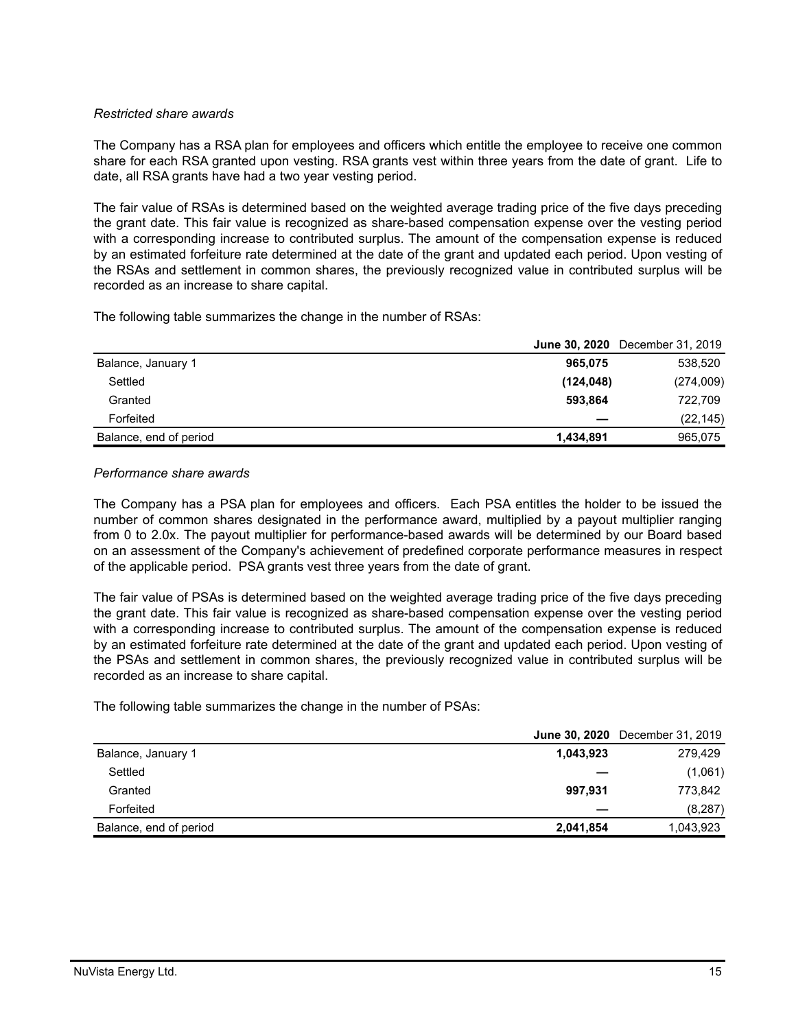# *Restricted share awards*

The Company has a RSA plan for employees and officers which entitle the employee to receive one common share for each RSA granted upon vesting. RSA grants vest within three years from the date of grant. Life to date, all RSA grants have had a two year vesting period.

The fair value of RSAs is determined based on the weighted average trading price of the five days preceding the grant date. This fair value is recognized as share-based compensation expense over the vesting period with a corresponding increase to contributed surplus. The amount of the compensation expense is reduced by an estimated forfeiture rate determined at the date of the grant and updated each period. Upon vesting of the RSAs and settlement in common shares, the previously recognized value in contributed surplus will be recorded as an increase to share capital.

The following table summarizes the change in the number of RSAs:

|                        |            | <b>June 30, 2020</b> December 31, 2019 |
|------------------------|------------|----------------------------------------|
| Balance, January 1     | 965,075    | 538,520                                |
| Settled                | (124, 048) | (274,009)                              |
| Granted                | 593.864    | 722,709                                |
| Forfeited              |            | (22, 145)                              |
| Balance, end of period | 1,434,891  | 965,075                                |

# *Performance share awards*

The Company has a PSA plan for employees and officers. Each PSA entitles the holder to be issued the number of common shares designated in the performance award, multiplied by a payout multiplier ranging from 0 to 2.0x. The payout multiplier for performance-based awards will be determined by our Board based on an assessment of the Company's achievement of predefined corporate performance measures in respect of the applicable period. PSA grants vest three years from the date of grant.

The fair value of PSAs is determined based on the weighted average trading price of the five days preceding the grant date. This fair value is recognized as share-based compensation expense over the vesting period with a corresponding increase to contributed surplus. The amount of the compensation expense is reduced by an estimated forfeiture rate determined at the date of the grant and updated each period. Upon vesting of the PSAs and settlement in common shares, the previously recognized value in contributed surplus will be recorded as an increase to share capital.

The following table summarizes the change in the number of PSAs:

|                        |           | <b>June 30, 2020</b> December 31, 2019 |
|------------------------|-----------|----------------------------------------|
| Balance, January 1     | 1,043,923 | 279,429                                |
| Settled                |           | (1,061)                                |
| Granted                | 997.931   | 773.842                                |
| Forfeited              |           | (8, 287)                               |
| Balance, end of period | 2,041,854 | 1,043,923                              |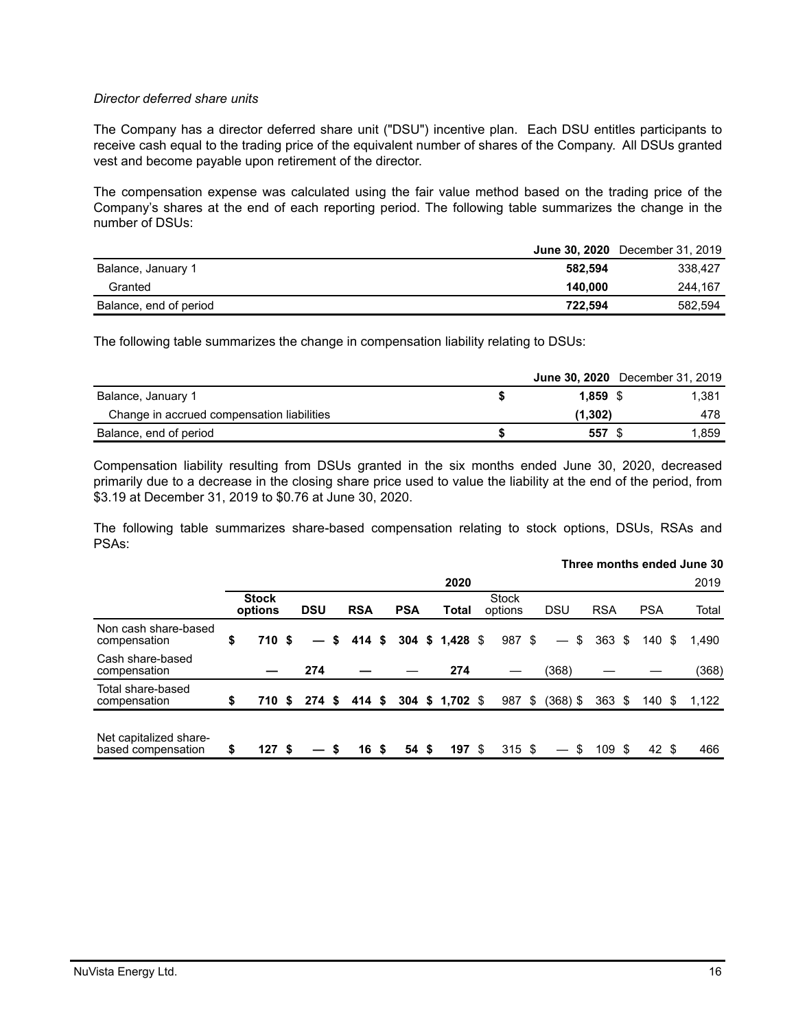# *Director deferred share units*

The Company has a director deferred share unit ("DSU") incentive plan. Each DSU entitles participants to receive cash equal to the trading price of the equivalent number of shares of the Company. All DSUs granted vest and become payable upon retirement of the director.

The compensation expense was calculated using the fair value method based on the trading price of the Company's shares at the end of each reporting period. The following table summarizes the change in the number of DSUs:

|                        |         | <b>June 30, 2020</b> December 31, 2019 |
|------------------------|---------|----------------------------------------|
| Balance, January 1     | 582.594 | 338.427                                |
| Granted                | 140.000 | 244.167                                |
| Balance, end of period | 722.594 | 582,594                                |

The following table summarizes the change in compensation liability relating to DSUs:

|                                            |          | <b>June 30, 2020</b> December 31, 2019 |
|--------------------------------------------|----------|----------------------------------------|
| Balance, January 1                         | 1.859 S  | 1.381                                  |
| Change in accrued compensation liabilities | (1, 302) | 478                                    |
| Balance, end of period                     | 557      | 1.859                                  |

Compensation liability resulting from DSUs granted in the six months ended June 30, 2020, decreased primarily due to a decrease in the closing share price used to value the liability at the end of the period, from \$3.19 at December 31, 2019 to \$0.76 at June 30, 2020.

The following table summarizes share-based compensation relating to stock options, DSUs, RSAs and PSAs:

|                                              |                         |                 |    |            |   |            |                 |                         |                         |                  |    |            |      | Three months ended June 30 |
|----------------------------------------------|-------------------------|-----------------|----|------------|---|------------|-----------------|-------------------------|-------------------------|------------------|----|------------|------|----------------------------|
|                                              |                         |                 |    |            |   |            | 2020            |                         |                         |                  |    |            |      | 2019                       |
|                                              | <b>Stock</b><br>options | <b>DSU</b>      |    | <b>RSA</b> |   | <b>PSA</b> | Total           | <b>Stock</b><br>options | <b>DSU</b>              | <b>RSA</b>       |    | <b>PSA</b> |      | Total                      |
| Non cash share-based<br>compensation         | \$<br>710 \$            | $\qquad \qquad$ | S. | 414S       |   |            | 304 \$ 1,428 \$ | 987 \$                  | \$<br>$\qquad \qquad -$ | $363 \text{ } $$ |    | 140        | - \$ | 1.490                      |
| Cash share-based<br>compensation             |                         | 274             |    |            |   |            | 274             |                         | (368)                   |                  |    |            |      | (368)                      |
| Total share-based<br>compensation            | \$<br>710 S             | $274$ \$        |    | 414 S      |   |            | 304 \$ 1,702 \$ | 987                     | \$<br>$(368)$ \$        | 363              | S. | 140        | - \$ | 1,122                      |
| Net capitalized share-<br>based compensation | \$<br>127S              |                 |    | 16         | S | 54S        | 197S            | 315S                    |                         | 109S             |    | 42 \$      |      | 466                        |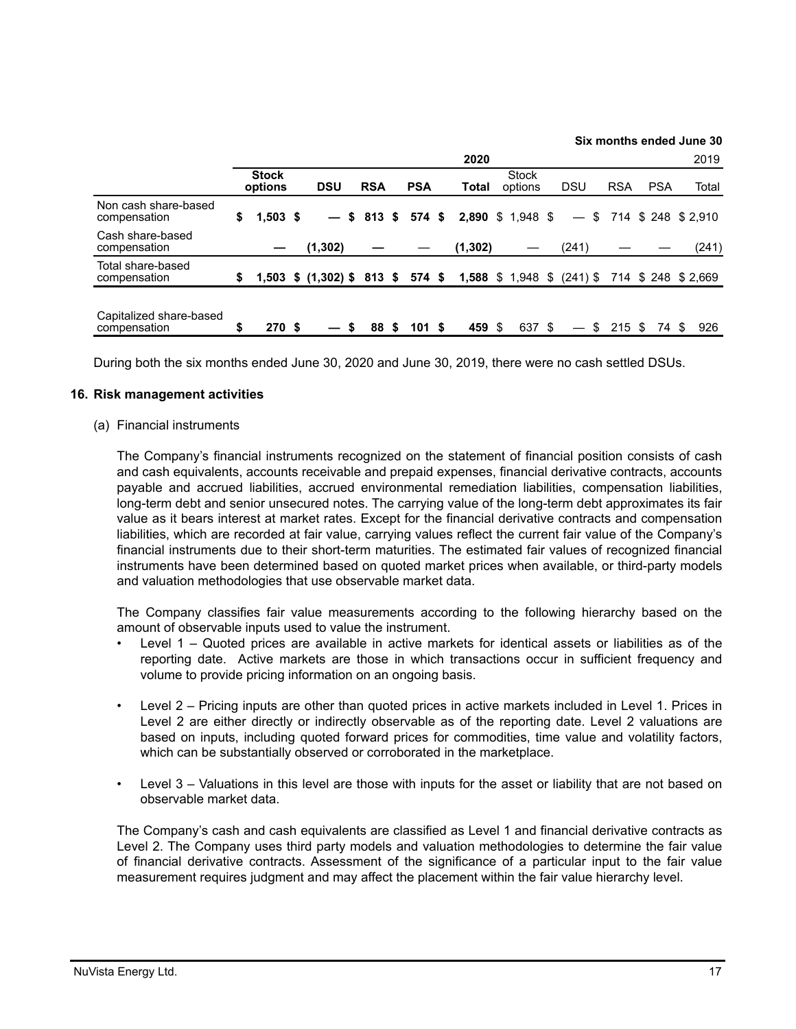|                                         |                         |                            |            |      |            |          |                                      |    |                   |            |            | Six months ended June 30 |
|-----------------------------------------|-------------------------|----------------------------|------------|------|------------|----------|--------------------------------------|----|-------------------|------------|------------|--------------------------|
|                                         |                         |                            |            |      |            | 2020     |                                      |    |                   |            |            | 2019                     |
|                                         | <b>Stock</b><br>options | <b>DSU</b>                 | <b>RSA</b> |      | <b>PSA</b> | Total    | <b>Stock</b><br>options              |    | DSU               | <b>RSA</b> | <b>PSA</b> | Total                    |
| Non cash share-based<br>compensation    | \$<br>$1.503$ \$        |                            | $$813$ \$  |      | 574 \$     |          | 2,890 \$ 1,948 \$                    |    | $\qquad \qquad -$ |            |            | $$714$ \$ 248 \$ 2.910   |
| Cash share-based<br>compensation        |                         | (1, 302)                   |            |      |            | (1, 302) |                                      |    | (241)             |            |            | (241)                    |
| Total share-based<br>compensation       | \$                      | 1,503 \$ (1,302) \$ 813 \$ |            |      | 574 \$     |          | <b>1,588</b> $$ 1,948$ $$ (241)$ $$$ |    |                   |            |            | 714 \$248 \$2,669        |
| Capitalized share-based<br>compensation | \$<br>270S              | S                          | 88         | - \$ | 101S       | 459 \$   | 637                                  | -S |                   | \$<br>215S | 74.        | 926                      |

During both the six months ended June 30, 2020 and June 30, 2019, there were no cash settled DSUs.

# **16. Risk management activities**

(a) Financial instruments

The Company's financial instruments recognized on the statement of financial position consists of cash and cash equivalents, accounts receivable and prepaid expenses, financial derivative contracts, accounts payable and accrued liabilities, accrued environmental remediation liabilities, compensation liabilities, long-term debt and senior unsecured notes. The carrying value of the long-term debt approximates its fair value as it bears interest at market rates. Except for the financial derivative contracts and compensation liabilities, which are recorded at fair value, carrying values reflect the current fair value of the Company's financial instruments due to their short-term maturities. The estimated fair values of recognized financial instruments have been determined based on quoted market prices when available, or third-party models and valuation methodologies that use observable market data.

The Company classifies fair value measurements according to the following hierarchy based on the amount of observable inputs used to value the instrument.

- Level 1 Quoted prices are available in active markets for identical assets or liabilities as of the reporting date. Active markets are those in which transactions occur in sufficient frequency and volume to provide pricing information on an ongoing basis.
- Level 2 Pricing inputs are other than quoted prices in active markets included in Level 1. Prices in Level 2 are either directly or indirectly observable as of the reporting date. Level 2 valuations are based on inputs, including quoted forward prices for commodities, time value and volatility factors, which can be substantially observed or corroborated in the marketplace.
- Level 3 Valuations in this level are those with inputs for the asset or liability that are not based on observable market data.

The Company's cash and cash equivalents are classified as Level 1 and financial derivative contracts as Level 2. The Company uses third party models and valuation methodologies to determine the fair value of financial derivative contracts. Assessment of the significance of a particular input to the fair value measurement requires judgment and may affect the placement within the fair value hierarchy level.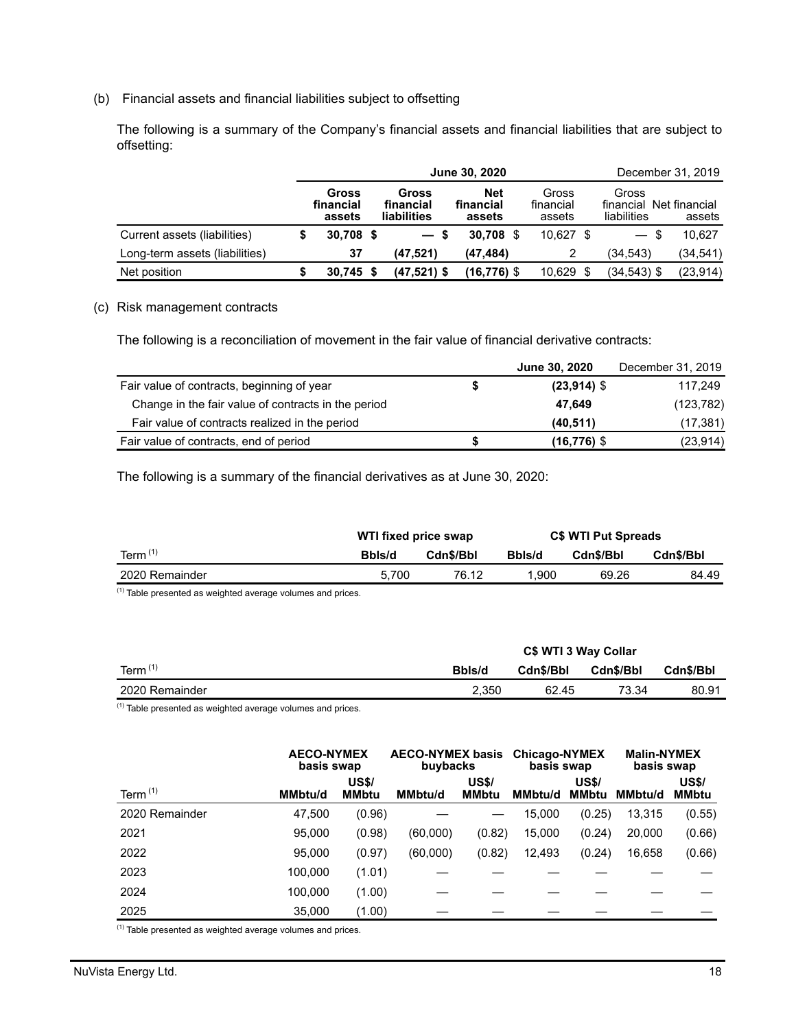# (b) Financial assets and financial liabilities subject to offsetting

The following is a summary of the Company's financial assets and financial liabilities that are subject to offsetting:

|                                |                                     | June 30, 2020                     | December 31, 2019                 |                              |                                   |                         |  |
|--------------------------------|-------------------------------------|-----------------------------------|-----------------------------------|------------------------------|-----------------------------------|-------------------------|--|
|                                | <b>Gross</b><br>financial<br>assets | Gross<br>financial<br>liabilities | <b>Net</b><br>financial<br>assets | Gross<br>financial<br>assets | Gross<br>financial<br>liabilities | Net financial<br>assets |  |
| Current assets (liabilities)   | $30.708$ \$                         | S.<br>$\overline{\phantom{0}}$    | $30.708$ \$                       | $10.627$ \$                  | — \$                              | 10.627                  |  |
| Long-term assets (liabilities) | 37                                  | (47.521)                          | (47, 484)                         |                              | (34.543)                          | (34,541)                |  |
| Net position                   | $30.745$ \$                         | $(47,521)$ \$                     | $(16, 776)$ \$                    | $10,629$ \$                  | (34,543) \$                       | (23, 914)               |  |

# (c) Risk management contracts

The following is a reconciliation of movement in the fair value of financial derivative contracts:

|                                                     |   | June 30, 2020  | December 31, 2019 |
|-----------------------------------------------------|---|----------------|-------------------|
| Fair value of contracts, beginning of year          | S | $(23,914)$ \$  | 117.249           |
| Change in the fair value of contracts in the period |   | 47.649         | (123, 782)        |
| Fair value of contracts realized in the period      |   | (40, 511)      | (17,381)          |
| Fair value of contracts, end of period              |   | $(16, 776)$ \$ | (23, 914)         |

The following is a summary of the financial derivatives as at June 30, 2020:

|                | WTI fixed price swap |           | <b>C\$ WTI Put Spreads</b> |           |           |  |  |
|----------------|----------------------|-----------|----------------------------|-----------|-----------|--|--|
| Term $(1)$     | Bbls/d               | Cdn\$/Bbl | Bbls/d                     | Cdn\$/Bbl | Cdn\$/Bbl |  |  |
| 2020 Remainder | 5.700                | 76.12     | 1.900                      | 69.26     | 84.49     |  |  |

 $(1)$  Table presented as weighted average volumes and prices.

|                | C\$ WTI 3 Way Collar |           |           |           |  |  |  |  |  |  |
|----------------|----------------------|-----------|-----------|-----------|--|--|--|--|--|--|
| Term $(1)$     | Bbls/d               | Cdn\$/Bbl | Cdn\$/Bbl | Cdn\$/Bbl |  |  |  |  |  |  |
| 2020 Remainder | 2.350                | 62.45     | 73.34     | 80.91     |  |  |  |  |  |  |
|                |                      |           |           |           |  |  |  |  |  |  |

 $(1)$  Table presented as weighted average volumes and prices.

|                | <b>AECO-NYMEX</b><br>basis swap |                              | <b>AECO-NYMEX basis</b><br>buybacks |                              | <b>Chicago-NYMEX</b><br>basis swap |                       | <b>Malin-NYMEX</b><br>basis swap |                              |  |
|----------------|---------------------------------|------------------------------|-------------------------------------|------------------------------|------------------------------------|-----------------------|----------------------------------|------------------------------|--|
| Term $(1)$     | <b>MMbtu/d</b>                  | <b>US\$/</b><br><b>MMbtu</b> | <b>MMbtu/d</b>                      | <b>US\$/</b><br><b>MMbtu</b> | <b>MMbtu/d</b>                     | <b>US\$/</b><br>MMbtu | <b>MMbtu/d</b>                   | <b>US\$/</b><br><b>MMbtu</b> |  |
| 2020 Remainder | 47,500                          | (0.96)                       |                                     |                              | 15,000                             | (0.25)                | 13,315                           | (0.55)                       |  |
| 2021           | 95,000                          | (0.98)                       | (60,000)                            | (0.82)                       | 15,000                             | (0.24)                | 20,000                           | (0.66)                       |  |
| 2022           | 95,000                          | (0.97)                       | (60,000)                            | (0.82)                       | 12,493                             | (0.24)                | 16,658                           | (0.66)                       |  |
| 2023           | 100.000                         | (1.01)                       |                                     |                              |                                    |                       |                                  |                              |  |
| 2024           | 100,000                         | (1.00)                       |                                     |                              |                                    |                       |                                  |                              |  |
| 2025           | 35,000                          | (1.00)                       |                                     |                              |                                    |                       |                                  |                              |  |

 $(1)$  Table presented as weighted average volumes and prices.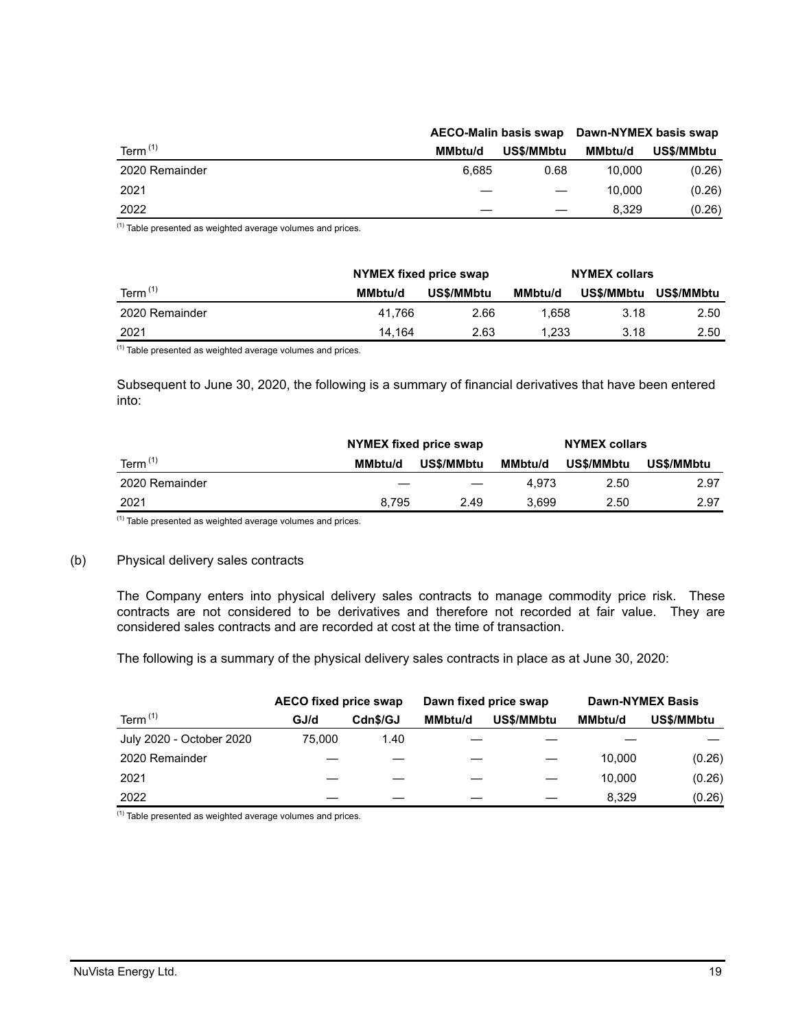|                |                | <b>AECO-Malin basis swap</b> | Dawn-NYMEX basis swap |            |
|----------------|----------------|------------------------------|-----------------------|------------|
| Term $(1)$     | <b>MMbtu/d</b> | US\$/MMbtu                   | <b>MMbtu/d</b>        | US\$/MMbtu |
| 2020 Remainder | 6.685          | 0.68                         | 10.000                | (0.26)     |
| 2021           |                |                              | 10.000                | (0.26)     |
| 2022           |                |                              | 8.329                 | (0.26)     |

 $(1)$  Table presented as weighted average volumes and prices.

|                | NYMEX fixed price swap |            | <b>NYMEX collars</b> |            |            |  |
|----------------|------------------------|------------|----------------------|------------|------------|--|
| Term $(1)$     | <b>MMbtu/d</b>         | US\$/MMbtu | <b>MMbtu/d</b>       | US\$/MMbtu | US\$/MMbtu |  |
| 2020 Remainder | 41.766                 | 2.66       | .658                 | 3.18       | 2.50       |  |
| 2021           | 14.164                 | 2.63       | 1,233                | 3.18       | 2.50       |  |

 $(1)$  Table presented as weighted average volumes and prices.

Subsequent to June 30, 2020, the following is a summary of financial derivatives that have been entered into:

|                |                | NYMEX fixed price swap | <b>NYMEX collars</b> |            |            |
|----------------|----------------|------------------------|----------------------|------------|------------|
| Term $(1)$     | <b>MMbtu/d</b> | US\$/MMbtu             | <b>MMbtu/d</b>       | US\$/MMbtu | US\$/MMbtu |
| 2020 Remainder |                |                        | 4.973                | 2.50       | 2.97       |
| 2021           | 8.795          | 2.49                   | 3.699                | 2.50       | 2.97       |

 $(1)$  Table presented as weighted average volumes and prices.

#### (b) Physical delivery sales contracts

The Company enters into physical delivery sales contracts to manage commodity price risk. These contracts are not considered to be derivatives and therefore not recorded at fair value. They are considered sales contracts and are recorded at cost at the time of transaction.

The following is a summary of the physical delivery sales contracts in place as at June 30, 2020:

|                          | AECO fixed price swap |          |                | Dawn fixed price swap | <b>Dawn-NYMEX Basis</b> |            |  |  |
|--------------------------|-----------------------|----------|----------------|-----------------------|-------------------------|------------|--|--|
| Term $(1)$               | GJ/d                  | Cdn\$/GJ | <b>MMbtu/d</b> | US\$/MMbtu            | <b>MMbtu/d</b>          | US\$/MMbtu |  |  |
| July 2020 - October 2020 | 75.000                | 1.40     |                |                       |                         |            |  |  |
| 2020 Remainder           |                       |          |                |                       | 10.000                  | (0.26)     |  |  |
| 2021                     |                       |          |                |                       | 10.000                  | (0.26)     |  |  |
| 2022                     |                       |          |                |                       | 8.329                   | (0.26)     |  |  |

(1) Table presented as weighted average volumes and prices.